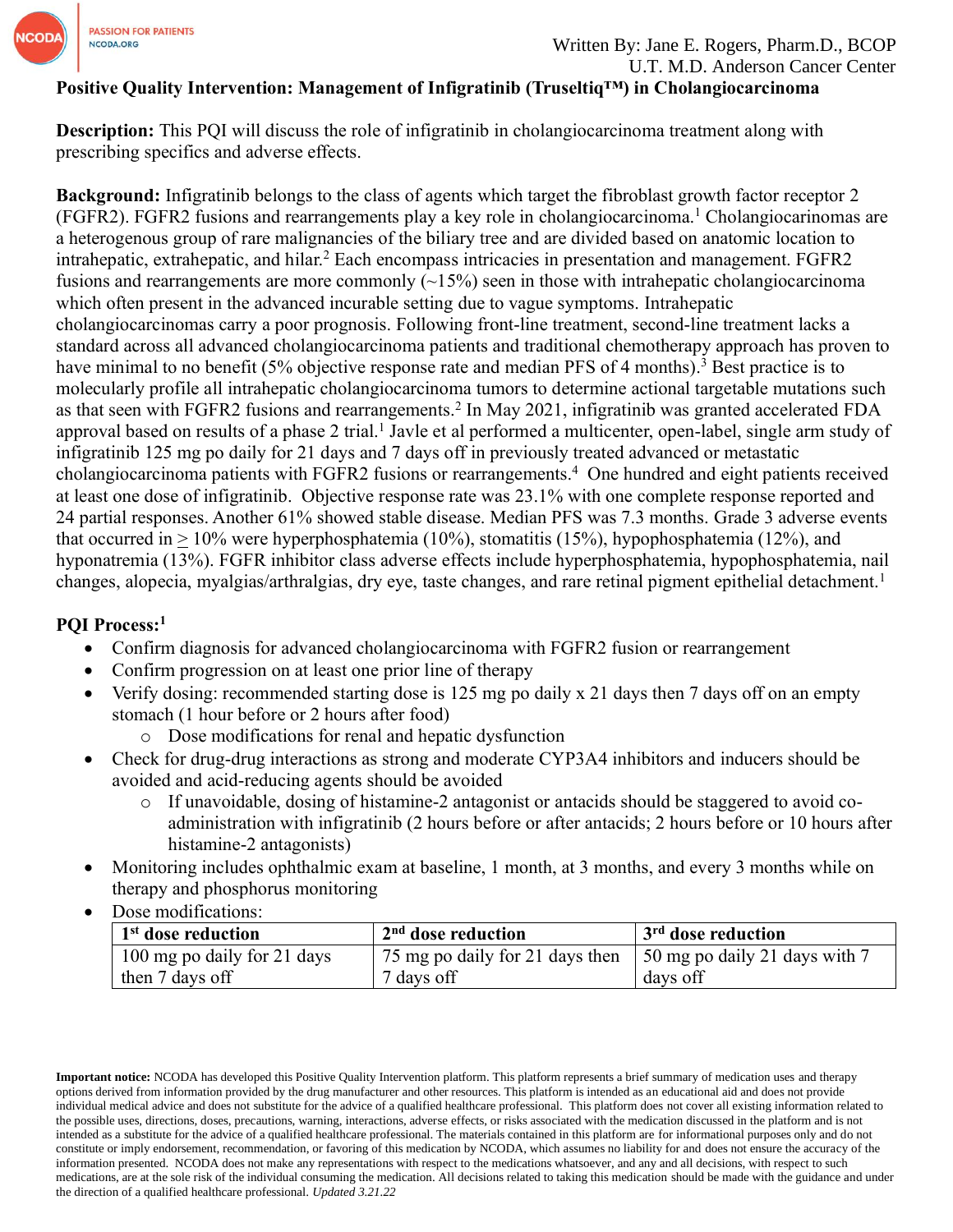

## **Positive Quality Intervention: Management of Infigratinib (Truseltiq™) in Cholangiocarcinoma**

**Description:** This PQI will discuss the role of infigratinib in cholangiocarcinoma treatment along with prescribing specifics and adverse effects.

**Background:** Infigratinib belongs to the class of agents which target the fibroblast growth factor receptor 2 (FGFR2). FGFR2 fusions and rearrangements play a key role in cholangiocarcinoma.<sup>1</sup> Cholangiocarinomas are a heterogenous group of rare malignancies of the biliary tree and are divided based on anatomic location to intrahepatic, extrahepatic, and hilar.<sup>2</sup> Each encompass intricacies in presentation and management. FGFR2 fusions and rearrangements are more commonly  $(\sim 15\%)$  seen in those with intrahepatic cholangiocarcinoma which often present in the advanced incurable setting due to vague symptoms. Intrahepatic cholangiocarcinomas carry a poor prognosis. Following front-line treatment, second-line treatment lacks a standard across all advanced cholangiocarcinoma patients and traditional chemotherapy approach has proven to have minimal to no benefit (5% objective response rate and median PFS of 4 months).<sup>3</sup> Best practice is to molecularly profile all intrahepatic cholangiocarcinoma tumors to determine actional targetable mutations such as that seen with FGFR2 fusions and rearrangements.<sup>2</sup> In May 2021, infigratinib was granted accelerated FDA approval based on results of a phase 2 trial.<sup>1</sup> Javle et al performed a multicenter, open-label, single arm study of infigratinib 125 mg po daily for 21 days and 7 days off in previously treated advanced or metastatic cholangiocarcinoma patients with FGFR2 fusions or rearrangements.<sup>4</sup> One hundred and eight patients received at least one dose of infigratinib. Objective response rate was 23.1% with one complete response reported and 24 partial responses. Another 61% showed stable disease. Median PFS was 7.3 months. Grade 3 adverse events that occurred in  $\geq 10\%$  were hyperphosphatemia (10%), stomatitis (15%), hypophosphatemia (12%), and hyponatremia (13%). FGFR inhibitor class adverse effects include hyperphosphatemia, hypophosphatemia, nail changes, alopecia, myalgias/arthralgias, dry eye, taste changes, and rare retinal pigment epithelial detachment.<sup>1</sup>

## **PQI Process:<sup>1</sup>**

- Confirm diagnosis for advanced cholangiocarcinoma with FGFR2 fusion or rearrangement
- Confirm progression on at least one prior line of therapy
- Verify dosing: recommended starting dose is 125 mg po daily x 21 days then 7 days off on an empty stomach (1 hour before or 2 hours after food)
	- o Dose modifications for renal and hepatic dysfunction
- Check for drug-drug interactions as strong and moderate CYP3A4 inhibitors and inducers should be avoided and acid-reducing agents should be avoided
	- o If unavoidable, dosing of histamine-2 antagonist or antacids should be staggered to avoid coadministration with infigratinib (2 hours before or after antacids; 2 hours before or 10 hours after histamine-2 antagonists)
- Monitoring includes ophthalmic exam at baseline, 1 month, at 3 months, and every 3 months while on therapy and phosphorus monitoring
- Dose modifications:

| 1 <sup>st</sup> dose reduction | $2nd$ dose reduction                                           | 3 <sup>rd</sup> dose reduction |
|--------------------------------|----------------------------------------------------------------|--------------------------------|
| 100 mg po daily for 21 days    | 75 mg po daily for 21 days then 150 mg po daily 21 days with 7 |                                |
| then 7 days off                | 7 days off                                                     | days off                       |

**Important notice:** NCODA has developed this Positive Quality Intervention platform. This platform represents a brief summary of medication uses and therapy options derived from information provided by the drug manufacturer and other resources. This platform is intended as an educational aid and does not provide individual medical advice and does not substitute for the advice of a qualified healthcare professional. This platform does not cover all existing information related to the possible uses, directions, doses, precautions, warning, interactions, adverse effects, or risks associated with the medication discussed in the platform and is not intended as a substitute for the advice of a qualified healthcare professional. The materials contained in this platform are for informational purposes only and do not constitute or imply endorsement, recommendation, or favoring of this medication by NCODA, which assumes no liability for and does not ensure the accuracy of the information presented. NCODA does not make any representations with respect to the medications whatsoever, and any and all decisions, with respect to such medications, are at the sole risk of the individual consuming the medication. All decisions related to taking this medication should be made with the guidance and under the direction of a qualified healthcare professional. *Updated 3.21.22*